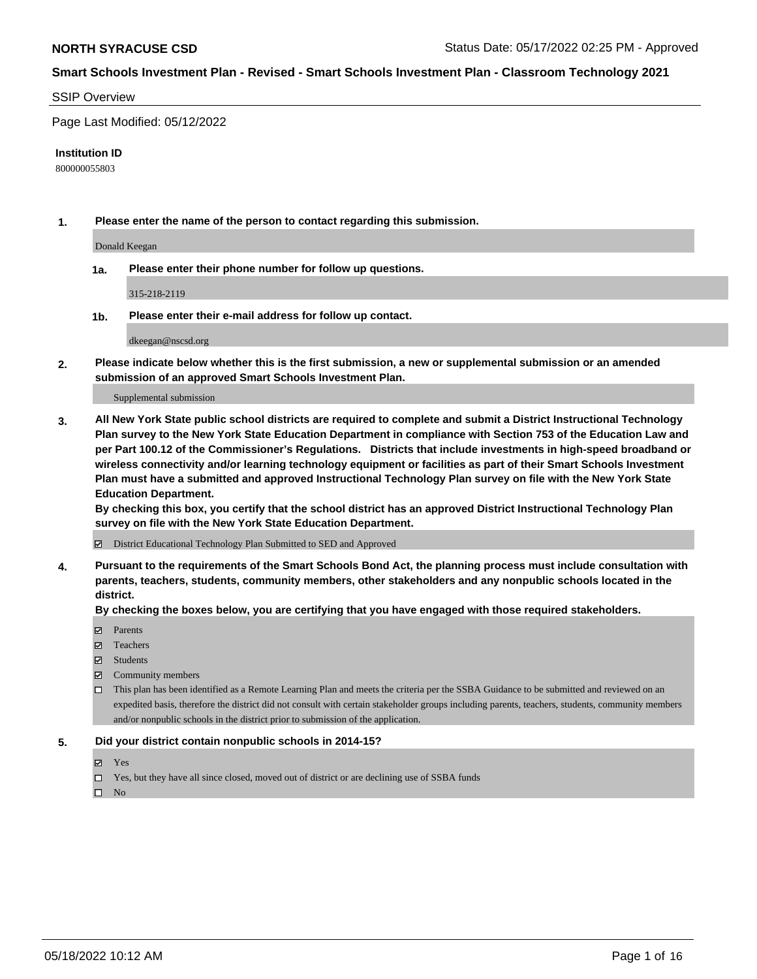#### SSIP Overview

Page Last Modified: 05/12/2022

#### **Institution ID**

800000055803

**1. Please enter the name of the person to contact regarding this submission.**

Donald Keegan

**1a. Please enter their phone number for follow up questions.**

315-218-2119

**1b. Please enter their e-mail address for follow up contact.**

dkeegan@nscsd.org

**2. Please indicate below whether this is the first submission, a new or supplemental submission or an amended submission of an approved Smart Schools Investment Plan.**

Supplemental submission

**3. All New York State public school districts are required to complete and submit a District Instructional Technology Plan survey to the New York State Education Department in compliance with Section 753 of the Education Law and per Part 100.12 of the Commissioner's Regulations. Districts that include investments in high-speed broadband or wireless connectivity and/or learning technology equipment or facilities as part of their Smart Schools Investment Plan must have a submitted and approved Instructional Technology Plan survey on file with the New York State Education Department.** 

**By checking this box, you certify that the school district has an approved District Instructional Technology Plan survey on file with the New York State Education Department.**

District Educational Technology Plan Submitted to SED and Approved

**4. Pursuant to the requirements of the Smart Schools Bond Act, the planning process must include consultation with parents, teachers, students, community members, other stakeholders and any nonpublic schools located in the district.** 

**By checking the boxes below, you are certifying that you have engaged with those required stakeholders.**

- **□** Parents
- Teachers
- Students
- $\Xi$  Community members
- This plan has been identified as a Remote Learning Plan and meets the criteria per the SSBA Guidance to be submitted and reviewed on an expedited basis, therefore the district did not consult with certain stakeholder groups including parents, teachers, students, community members and/or nonpublic schools in the district prior to submission of the application.

#### **5. Did your district contain nonpublic schools in 2014-15?**

- Yes
- $\Box$  Yes, but they have all since closed, moved out of district or are declining use of SSBA funds

 $\square$  No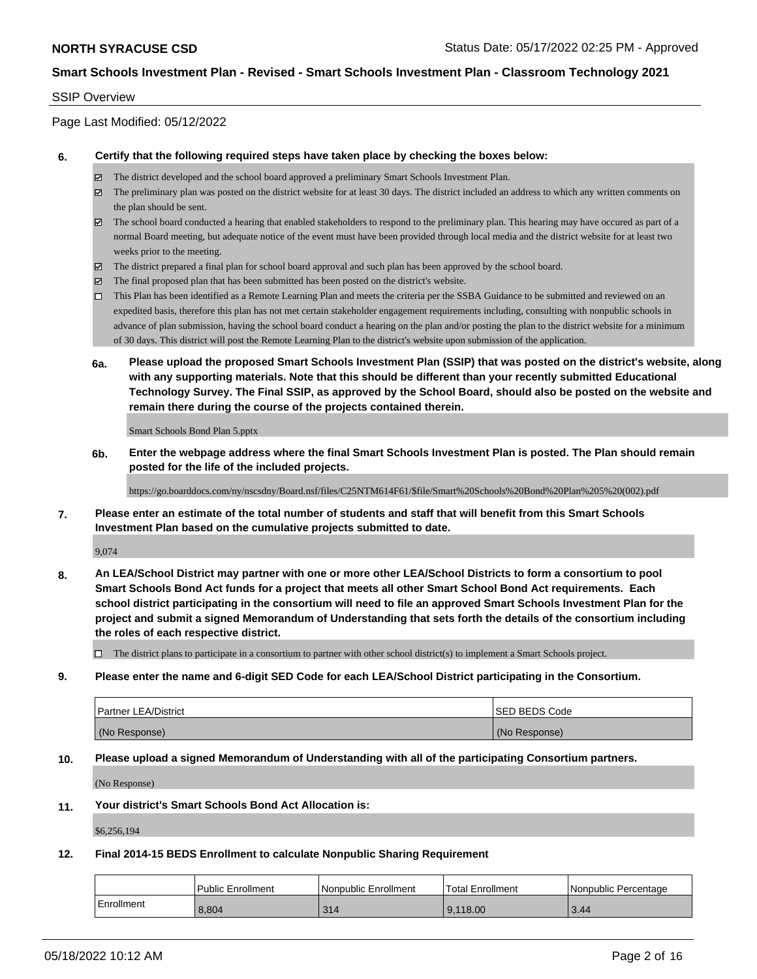## SSIP Overview

Page Last Modified: 05/12/2022

#### **6. Certify that the following required steps have taken place by checking the boxes below:**

- The district developed and the school board approved a preliminary Smart Schools Investment Plan.
- $\boxtimes$  The preliminary plan was posted on the district website for at least 30 days. The district included an address to which any written comments on the plan should be sent.
- $\boxtimes$  The school board conducted a hearing that enabled stakeholders to respond to the preliminary plan. This hearing may have occured as part of a normal Board meeting, but adequate notice of the event must have been provided through local media and the district website for at least two weeks prior to the meeting.
- The district prepared a final plan for school board approval and such plan has been approved by the school board.
- $\boxtimes$  The final proposed plan that has been submitted has been posted on the district's website.
- This Plan has been identified as a Remote Learning Plan and meets the criteria per the SSBA Guidance to be submitted and reviewed on an expedited basis, therefore this plan has not met certain stakeholder engagement requirements including, consulting with nonpublic schools in advance of plan submission, having the school board conduct a hearing on the plan and/or posting the plan to the district website for a minimum of 30 days. This district will post the Remote Learning Plan to the district's website upon submission of the application.
- **6a. Please upload the proposed Smart Schools Investment Plan (SSIP) that was posted on the district's website, along with any supporting materials. Note that this should be different than your recently submitted Educational Technology Survey. The Final SSIP, as approved by the School Board, should also be posted on the website and remain there during the course of the projects contained therein.**

Smart Schools Bond Plan 5.pptx

**6b. Enter the webpage address where the final Smart Schools Investment Plan is posted. The Plan should remain posted for the life of the included projects.**

https://go.boarddocs.com/ny/nscsdny/Board.nsf/files/C25NTM614F61/\$file/Smart%20Schools%20Bond%20Plan%205%20(002).pdf

**7. Please enter an estimate of the total number of students and staff that will benefit from this Smart Schools Investment Plan based on the cumulative projects submitted to date.**

9,074

**8. An LEA/School District may partner with one or more other LEA/School Districts to form a consortium to pool Smart Schools Bond Act funds for a project that meets all other Smart School Bond Act requirements. Each school district participating in the consortium will need to file an approved Smart Schools Investment Plan for the project and submit a signed Memorandum of Understanding that sets forth the details of the consortium including the roles of each respective district.**

 $\Box$  The district plans to participate in a consortium to partner with other school district(s) to implement a Smart Schools project.

**9. Please enter the name and 6-digit SED Code for each LEA/School District participating in the Consortium.**

| <b>Partner LEA/District</b> | <b>ISED BEDS Code</b> |
|-----------------------------|-----------------------|
| (No Response)               | (No Response)         |

## **10. Please upload a signed Memorandum of Understanding with all of the participating Consortium partners.**

(No Response)

# **11. Your district's Smart Schools Bond Act Allocation is:**

\$6,256,194

# **12. Final 2014-15 BEDS Enrollment to calculate Nonpublic Sharing Requirement**

|              | Public Enrollment | l Nonpublic Enrollment | <b>Total Enrollment</b> | I Nonpublic Percentage |
|--------------|-------------------|------------------------|-------------------------|------------------------|
| l Enrollment | 8.804             | 314                    | 9.118.00                | 3.44                   |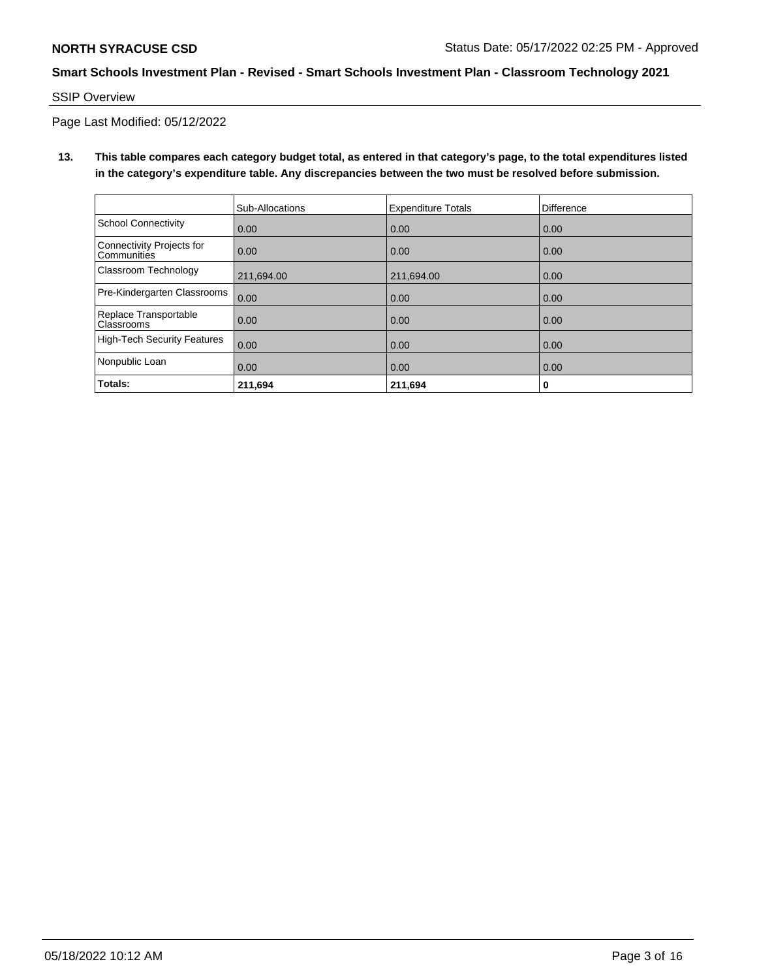SSIP Overview

Page Last Modified: 05/12/2022

**13. This table compares each category budget total, as entered in that category's page, to the total expenditures listed in the category's expenditure table. Any discrepancies between the two must be resolved before submission.**

|                                                 | Sub-Allocations | <b>Expenditure Totals</b> | Difference |
|-------------------------------------------------|-----------------|---------------------------|------------|
| School Connectivity                             | 0.00            | 0.00                      | 0.00       |
| Connectivity Projects for<br><b>Communities</b> | 0.00            | 0.00                      | 0.00       |
| <b>Classroom Technology</b>                     | 211.694.00      | 211,694.00                | 0.00       |
| Pre-Kindergarten Classrooms                     | 0.00            | 0.00                      | 0.00       |
| Replace Transportable<br>Classrooms             | 0.00            | 0.00                      | 0.00       |
| High-Tech Security Features                     | 0.00            | 0.00                      | 0.00       |
| Nonpublic Loan                                  | 0.00            | 0.00                      | 0.00       |
| Totals:                                         | 211,694         | 211,694                   | 0          |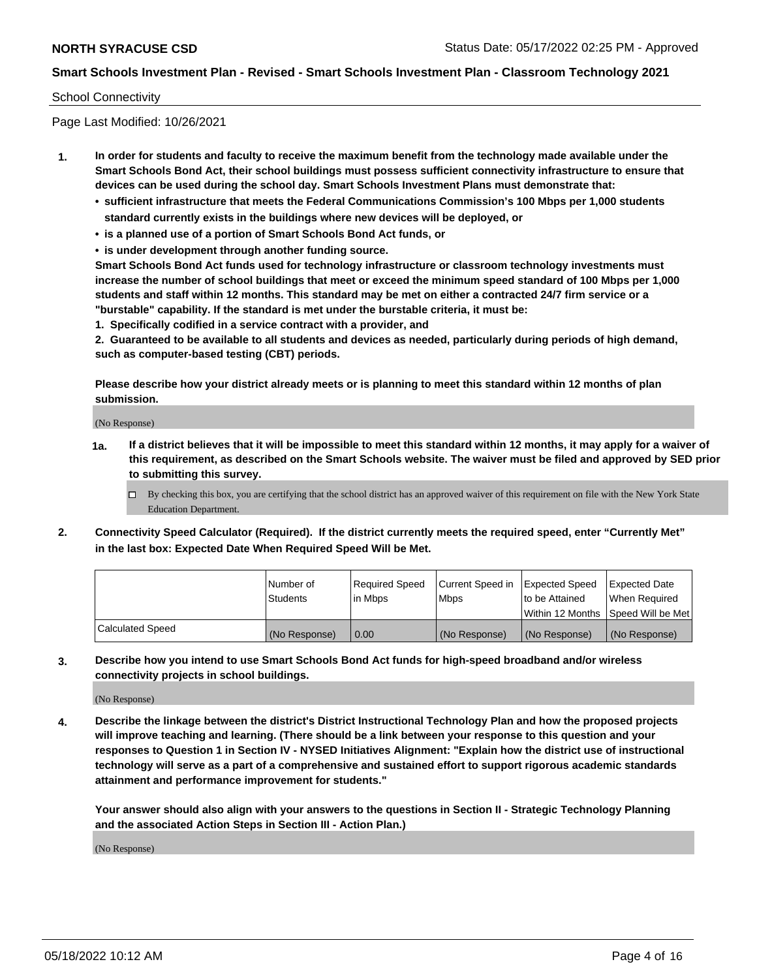#### School Connectivity

Page Last Modified: 10/26/2021

- **1. In order for students and faculty to receive the maximum benefit from the technology made available under the Smart Schools Bond Act, their school buildings must possess sufficient connectivity infrastructure to ensure that devices can be used during the school day. Smart Schools Investment Plans must demonstrate that:**
	- **• sufficient infrastructure that meets the Federal Communications Commission's 100 Mbps per 1,000 students standard currently exists in the buildings where new devices will be deployed, or**
	- **• is a planned use of a portion of Smart Schools Bond Act funds, or**
	- **• is under development through another funding source.**

**Smart Schools Bond Act funds used for technology infrastructure or classroom technology investments must increase the number of school buildings that meet or exceed the minimum speed standard of 100 Mbps per 1,000 students and staff within 12 months. This standard may be met on either a contracted 24/7 firm service or a "burstable" capability. If the standard is met under the burstable criteria, it must be:**

**1. Specifically codified in a service contract with a provider, and**

**2. Guaranteed to be available to all students and devices as needed, particularly during periods of high demand, such as computer-based testing (CBT) periods.**

**Please describe how your district already meets or is planning to meet this standard within 12 months of plan submission.**

(No Response)

- **1a. If a district believes that it will be impossible to meet this standard within 12 months, it may apply for a waiver of this requirement, as described on the Smart Schools website. The waiver must be filed and approved by SED prior to submitting this survey.**
	- By checking this box, you are certifying that the school district has an approved waiver of this requirement on file with the New York State Education Department.
- **2. Connectivity Speed Calculator (Required). If the district currently meets the required speed, enter "Currently Met" in the last box: Expected Date When Required Speed Will be Met.**

|                         | l Number of<br><b>Students</b> | Required Speed<br>l in Mbps | Current Speed in<br><b>Mbps</b> | <b>Expected Speed</b><br>to be Attained | Expected Date<br>When Reauired |
|-------------------------|--------------------------------|-----------------------------|---------------------------------|-----------------------------------------|--------------------------------|
|                         |                                |                             |                                 | Within 12 Months 1Speed Will be Met     |                                |
| <b>Calculated Speed</b> | (No Response)                  | 0.00                        | (No Response)                   | (No Response)                           | (No Response)                  |

**3. Describe how you intend to use Smart Schools Bond Act funds for high-speed broadband and/or wireless connectivity projects in school buildings.**

(No Response)

**4. Describe the linkage between the district's District Instructional Technology Plan and how the proposed projects will improve teaching and learning. (There should be a link between your response to this question and your responses to Question 1 in Section IV - NYSED Initiatives Alignment: "Explain how the district use of instructional technology will serve as a part of a comprehensive and sustained effort to support rigorous academic standards attainment and performance improvement for students."** 

**Your answer should also align with your answers to the questions in Section II - Strategic Technology Planning and the associated Action Steps in Section III - Action Plan.)**

(No Response)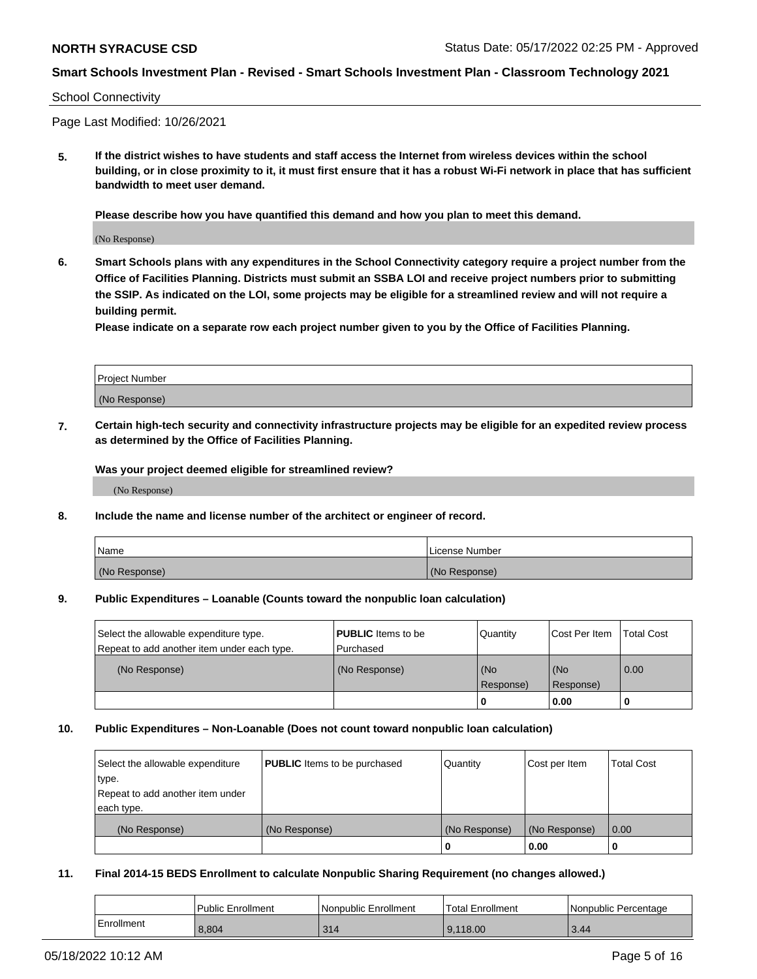#### School Connectivity

Page Last Modified: 10/26/2021

**5. If the district wishes to have students and staff access the Internet from wireless devices within the school building, or in close proximity to it, it must first ensure that it has a robust Wi-Fi network in place that has sufficient bandwidth to meet user demand.**

**Please describe how you have quantified this demand and how you plan to meet this demand.**

(No Response)

**6. Smart Schools plans with any expenditures in the School Connectivity category require a project number from the Office of Facilities Planning. Districts must submit an SSBA LOI and receive project numbers prior to submitting the SSIP. As indicated on the LOI, some projects may be eligible for a streamlined review and will not require a building permit.**

**Please indicate on a separate row each project number given to you by the Office of Facilities Planning.**

| Project Number |  |
|----------------|--|
| (No Response)  |  |

**7. Certain high-tech security and connectivity infrastructure projects may be eligible for an expedited review process as determined by the Office of Facilities Planning.**

**Was your project deemed eligible for streamlined review?**

(No Response)

#### **8. Include the name and license number of the architect or engineer of record.**

| Name          | I License Number |
|---------------|------------------|
| (No Response) | (No Response)    |

#### **9. Public Expenditures – Loanable (Counts toward the nonpublic loan calculation)**

| Select the allowable expenditure type.<br>Repeat to add another item under each type. | <b>PUBLIC</b> Items to be<br>Purchased | Quantity         | Cost Per Item    | <b>Total Cost</b> |
|---------------------------------------------------------------------------------------|----------------------------------------|------------------|------------------|-------------------|
| (No Response)                                                                         | (No Response)                          | (No<br>Response) | (No<br>Response) | 0.00              |
|                                                                                       |                                        | 0                | 0.00             |                   |

## **10. Public Expenditures – Non-Loanable (Does not count toward nonpublic loan calculation)**

| Select the allowable expenditure | <b>PUBLIC</b> Items to be purchased | Quantity      | Cost per Item | <b>Total Cost</b> |
|----------------------------------|-------------------------------------|---------------|---------------|-------------------|
| type.                            |                                     |               |               |                   |
| Repeat to add another item under |                                     |               |               |                   |
| each type.                       |                                     |               |               |                   |
| (No Response)                    | (No Response)                       | (No Response) | (No Response) | 0.00              |
|                                  |                                     | 0             | 0.00          |                   |

## **11. Final 2014-15 BEDS Enrollment to calculate Nonpublic Sharing Requirement (no changes allowed.)**

|            | Public Enrollment | Nonpublic Enrollment | <b>Total Enrollment</b> | Nonpublic Percentage |
|------------|-------------------|----------------------|-------------------------|----------------------|
| Enrollment | 8.804             | 314                  | 9.118.00                | 3.44                 |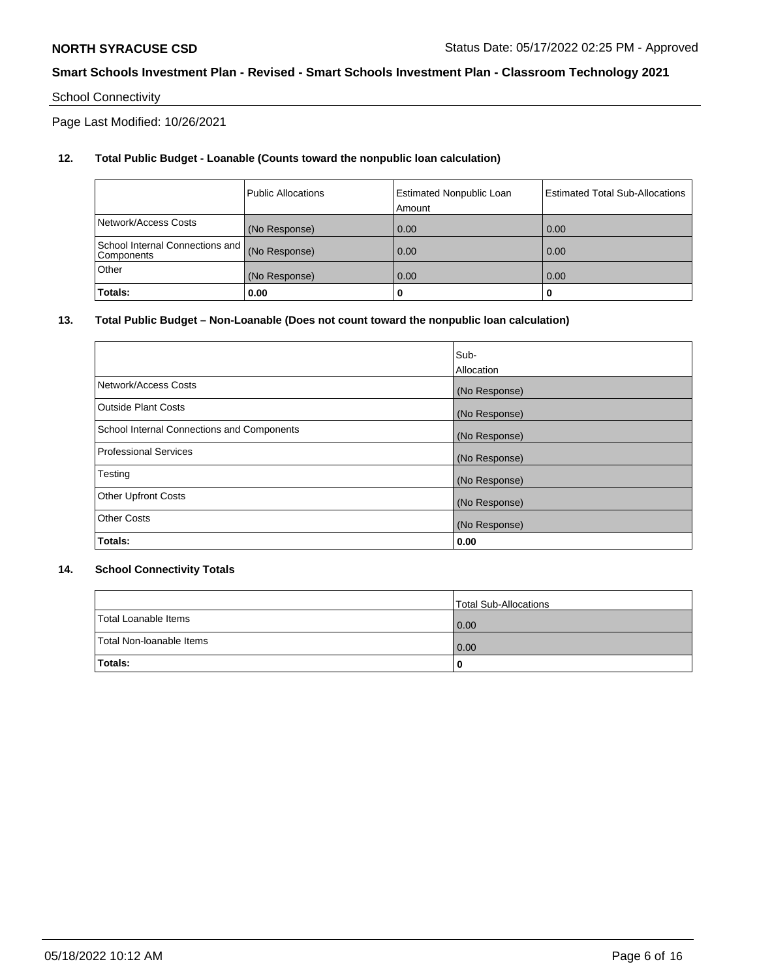# School Connectivity

Page Last Modified: 10/26/2021

# **12. Total Public Budget - Loanable (Counts toward the nonpublic loan calculation)**

|                                                  | l Public Allocations | <b>Estimated Nonpublic Loan</b><br>Amount | <b>Estimated Total Sub-Allocations</b> |
|--------------------------------------------------|----------------------|-------------------------------------------|----------------------------------------|
| Network/Access Costs                             | (No Response)        | 0.00                                      | 0.00                                   |
| School Internal Connections and   <br>Components | (No Response)        | 0.00                                      | 0.00                                   |
| Other                                            | (No Response)        | 0.00                                      | 0.00                                   |
| Totals:                                          | 0.00                 |                                           | 0                                      |

## **13. Total Public Budget – Non-Loanable (Does not count toward the nonpublic loan calculation)**

|                                            | Sub-          |
|--------------------------------------------|---------------|
|                                            | Allocation    |
| Network/Access Costs                       | (No Response) |
| <b>Outside Plant Costs</b>                 | (No Response) |
| School Internal Connections and Components | (No Response) |
| <b>Professional Services</b>               | (No Response) |
| Testing                                    | (No Response) |
| <b>Other Upfront Costs</b>                 | (No Response) |
| <b>Other Costs</b>                         | (No Response) |
| Totals:                                    | 0.00          |

## **14. School Connectivity Totals**

|                          | Total Sub-Allocations |
|--------------------------|-----------------------|
| Total Loanable Items     | 0.00                  |
| Total Non-Ioanable Items | 0.00                  |
| Totals:                  | 0                     |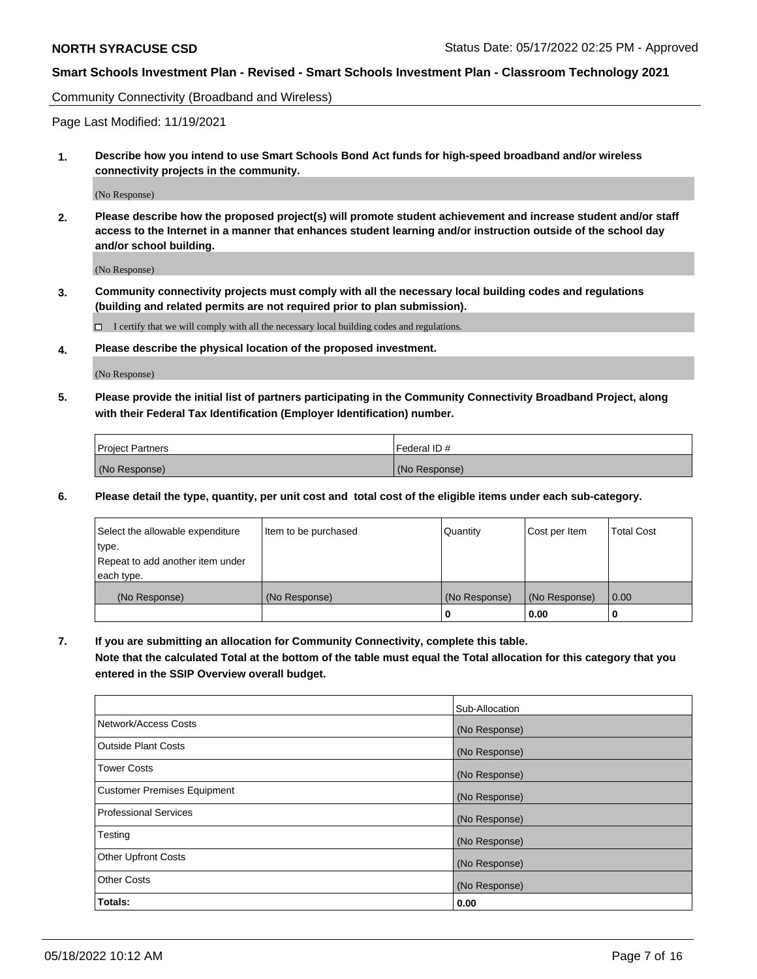Community Connectivity (Broadband and Wireless)

Page Last Modified: 11/19/2021

**1. Describe how you intend to use Smart Schools Bond Act funds for high-speed broadband and/or wireless connectivity projects in the community.**

(No Response)

**2. Please describe how the proposed project(s) will promote student achievement and increase student and/or staff access to the Internet in a manner that enhances student learning and/or instruction outside of the school day and/or school building.**

(No Response)

**3. Community connectivity projects must comply with all the necessary local building codes and regulations (building and related permits are not required prior to plan submission).**

 $\Box$  I certify that we will comply with all the necessary local building codes and regulations.

**4. Please describe the physical location of the proposed investment.**

(No Response)

**5. Please provide the initial list of partners participating in the Community Connectivity Broadband Project, along with their Federal Tax Identification (Employer Identification) number.**

| <b>Project Partners</b> | Federal ID#   |
|-------------------------|---------------|
| (No Response)           | (No Response) |

**6. Please detail the type, quantity, per unit cost and total cost of the eligible items under each sub-category.**

| Select the allowable expenditure | Item to be purchased | Quantity      | Cost per Item | <b>Total Cost</b> |
|----------------------------------|----------------------|---------------|---------------|-------------------|
| type.                            |                      |               |               |                   |
| Repeat to add another item under |                      |               |               |                   |
| each type.                       |                      |               |               |                   |
| (No Response)                    | (No Response)        | (No Response) | (No Response) | 0.00              |
|                                  |                      | 0             | 0.00          |                   |

**7. If you are submitting an allocation for Community Connectivity, complete this table.**

**Note that the calculated Total at the bottom of the table must equal the Total allocation for this category that you entered in the SSIP Overview overall budget.**

|                                    | Sub-Allocation |
|------------------------------------|----------------|
| Network/Access Costs               | (No Response)  |
| Outside Plant Costs                | (No Response)  |
| <b>Tower Costs</b>                 | (No Response)  |
| <b>Customer Premises Equipment</b> | (No Response)  |
| Professional Services              | (No Response)  |
| Testing                            | (No Response)  |
| <b>Other Upfront Costs</b>         | (No Response)  |
| <b>Other Costs</b>                 | (No Response)  |
| Totals:                            | 0.00           |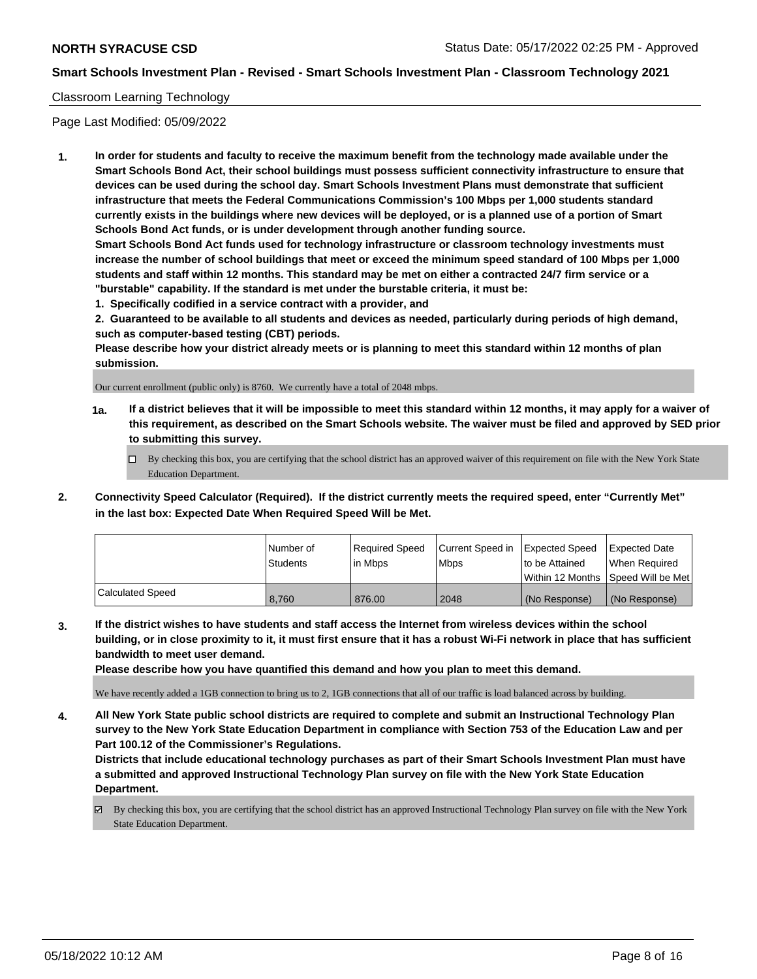## Classroom Learning Technology

Page Last Modified: 05/09/2022

**1. In order for students and faculty to receive the maximum benefit from the technology made available under the Smart Schools Bond Act, their school buildings must possess sufficient connectivity infrastructure to ensure that devices can be used during the school day. Smart Schools Investment Plans must demonstrate that sufficient infrastructure that meets the Federal Communications Commission's 100 Mbps per 1,000 students standard currently exists in the buildings where new devices will be deployed, or is a planned use of a portion of Smart Schools Bond Act funds, or is under development through another funding source.**

**Smart Schools Bond Act funds used for technology infrastructure or classroom technology investments must increase the number of school buildings that meet or exceed the minimum speed standard of 100 Mbps per 1,000 students and staff within 12 months. This standard may be met on either a contracted 24/7 firm service or a "burstable" capability. If the standard is met under the burstable criteria, it must be:**

**1. Specifically codified in a service contract with a provider, and**

**2. Guaranteed to be available to all students and devices as needed, particularly during periods of high demand, such as computer-based testing (CBT) periods.**

**Please describe how your district already meets or is planning to meet this standard within 12 months of plan submission.**

Our current enrollment (public only) is 8760. We currently have a total of 2048 mbps.

- **1a. If a district believes that it will be impossible to meet this standard within 12 months, it may apply for a waiver of this requirement, as described on the Smart Schools website. The waiver must be filed and approved by SED prior to submitting this survey.**
	- By checking this box, you are certifying that the school district has an approved waiver of this requirement on file with the New York State Education Department.
- **2. Connectivity Speed Calculator (Required). If the district currently meets the required speed, enter "Currently Met" in the last box: Expected Date When Required Speed Will be Met.**

|                  | l Number of     | Required Speed | Current Speed in | Expected Speed | <b>Expected Date</b>                    |
|------------------|-----------------|----------------|------------------|----------------|-----------------------------------------|
|                  | <b>Students</b> | l in Mbps      | <b>Mbps</b>      | to be Attained | When Required                           |
|                  |                 |                |                  |                | l Within 12 Months ISpeed Will be Met l |
| Calculated Speed | 8,760           | 876.00         | 2048             | (No Response)  | (No Response)                           |

**3. If the district wishes to have students and staff access the Internet from wireless devices within the school building, or in close proximity to it, it must first ensure that it has a robust Wi-Fi network in place that has sufficient bandwidth to meet user demand.**

**Please describe how you have quantified this demand and how you plan to meet this demand.**

We have recently added a 1GB connection to bring us to 2, 1GB connections that all of our traffic is load balanced across by building.

**4. All New York State public school districts are required to complete and submit an Instructional Technology Plan survey to the New York State Education Department in compliance with Section 753 of the Education Law and per Part 100.12 of the Commissioner's Regulations.**

**Districts that include educational technology purchases as part of their Smart Schools Investment Plan must have a submitted and approved Instructional Technology Plan survey on file with the New York State Education Department.**

By checking this box, you are certifying that the school district has an approved Instructional Technology Plan survey on file with the New York State Education Department.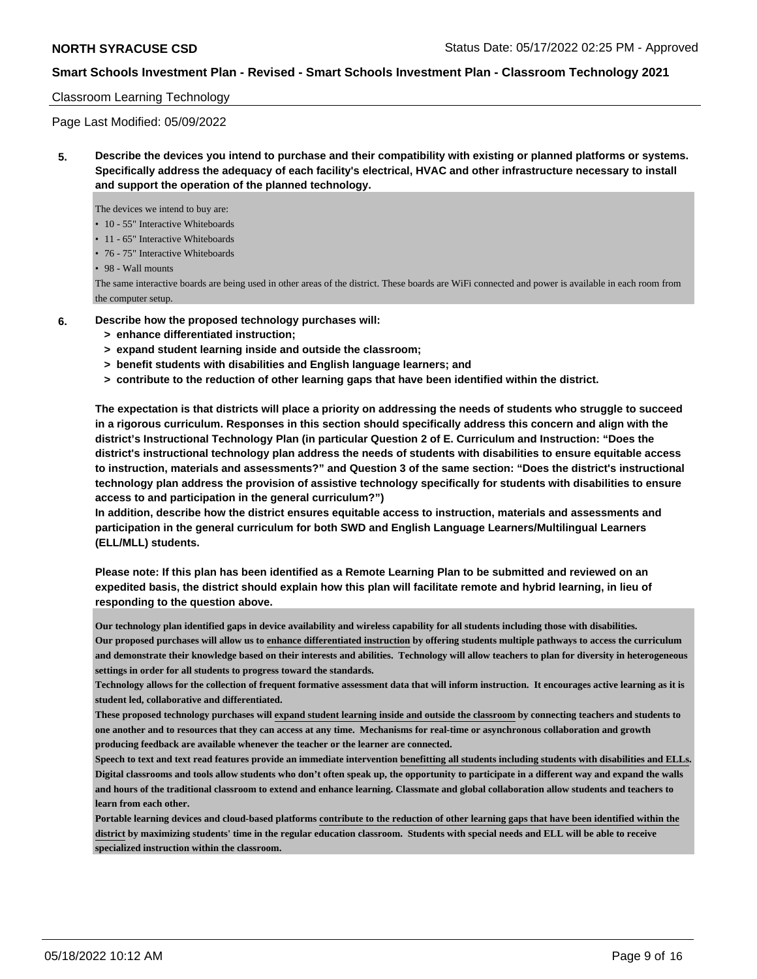## Classroom Learning Technology

Page Last Modified: 05/09/2022

**5. Describe the devices you intend to purchase and their compatibility with existing or planned platforms or systems. Specifically address the adequacy of each facility's electrical, HVAC and other infrastructure necessary to install and support the operation of the planned technology.**

The devices we intend to buy are:

- 10 55" Interactive Whiteboards
- 11 65" Interactive Whiteboards
- 76 75" Interactive Whiteboards

• 98 - Wall mounts

The same interactive boards are being used in other areas of the district. These boards are WiFi connected and power is available in each room from the computer setup.

- **6. Describe how the proposed technology purchases will:**
	- **> enhance differentiated instruction;**
	- **> expand student learning inside and outside the classroom;**
	- **> benefit students with disabilities and English language learners; and**
	- **> contribute to the reduction of other learning gaps that have been identified within the district.**

**The expectation is that districts will place a priority on addressing the needs of students who struggle to succeed in a rigorous curriculum. Responses in this section should specifically address this concern and align with the district's Instructional Technology Plan (in particular Question 2 of E. Curriculum and Instruction: "Does the district's instructional technology plan address the needs of students with disabilities to ensure equitable access to instruction, materials and assessments?" and Question 3 of the same section: "Does the district's instructional technology plan address the provision of assistive technology specifically for students with disabilities to ensure access to and participation in the general curriculum?")**

**In addition, describe how the district ensures equitable access to instruction, materials and assessments and participation in the general curriculum for both SWD and English Language Learners/Multilingual Learners (ELL/MLL) students.**

**Please note: If this plan has been identified as a Remote Learning Plan to be submitted and reviewed on an expedited basis, the district should explain how this plan will facilitate remote and hybrid learning, in lieu of responding to the question above.**

**Our technology plan identified gaps in device availability and wireless capability for all students including those with disabilities. Our proposed purchases will allow us to enhance differentiated instruction by offering students multiple pathways to access the curriculum and demonstrate their knowledge based on their interests and abilities. Technology will allow teachers to plan for diversity in heterogeneous settings in order for all students to progress toward the standards.**

**Technology allows for the collection of frequent formative assessment data that will inform instruction. It encourages active learning as it is student led, collaborative and differentiated.**

**These proposed technology purchases will expand student learning inside and outside the classroom by connecting teachers and students to one another and to resources that they can access at any time. Mechanisms for real-time or asynchronous collaboration and growth producing feedback are available whenever the teacher or the learner are connected.**

**Speech to text and text read features provide an immediate intervention benefitting all students including students with disabilities and ELLs. Digital classrooms and tools allow students who don't often speak up, the opportunity to participate in a different way and expand the walls and hours of the traditional classroom to extend and enhance learning. Classmate and global collaboration allow students and teachers to learn from each other.**

**Portable learning devices and cloud-based platforms contribute to the reduction of other learning gaps that have been identified within the district by maximizing students' time in the regular education classroom. Students with special needs and ELL will be able to receive specialized instruction within the classroom.**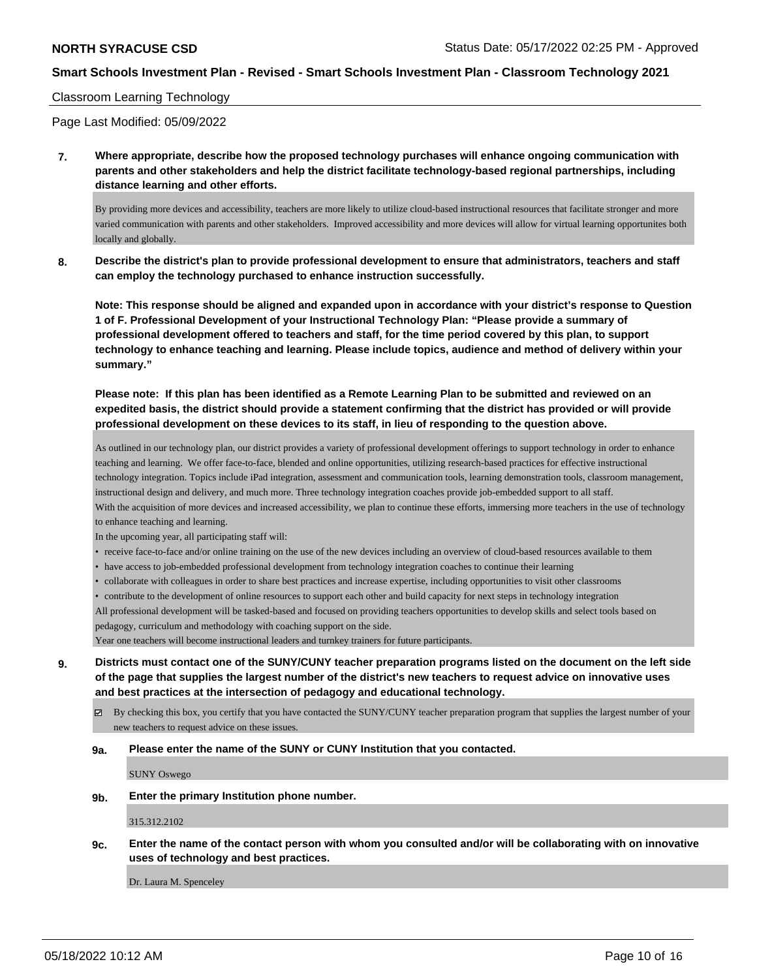## Classroom Learning Technology

Page Last Modified: 05/09/2022

**7. Where appropriate, describe how the proposed technology purchases will enhance ongoing communication with parents and other stakeholders and help the district facilitate technology-based regional partnerships, including distance learning and other efforts.**

By providing more devices and accessibility, teachers are more likely to utilize cloud-based instructional resources that facilitate stronger and more varied communication with parents and other stakeholders. Improved accessibility and more devices will allow for virtual learning opportunites both locally and globally.

**8. Describe the district's plan to provide professional development to ensure that administrators, teachers and staff can employ the technology purchased to enhance instruction successfully.**

**Note: This response should be aligned and expanded upon in accordance with your district's response to Question 1 of F. Professional Development of your Instructional Technology Plan: "Please provide a summary of professional development offered to teachers and staff, for the time period covered by this plan, to support technology to enhance teaching and learning. Please include topics, audience and method of delivery within your summary."**

**Please note: If this plan has been identified as a Remote Learning Plan to be submitted and reviewed on an expedited basis, the district should provide a statement confirming that the district has provided or will provide professional development on these devices to its staff, in lieu of responding to the question above.**

As outlined in our technology plan, our district provides a variety of professional development offerings to support technology in order to enhance teaching and learning. We offer face-to-face, blended and online opportunities, utilizing research-based practices for effective instructional technology integration. Topics include iPad integration, assessment and communication tools, learning demonstration tools, classroom management, instructional design and delivery, and much more. Three technology integration coaches provide job-embedded support to all staff. With the acquisition of more devices and increased accessibility, we plan to continue these efforts, immersing more teachers in the use of technology to enhance teaching and learning.

In the upcoming year, all participating staff will:

- receive face-to-face and/or online training on the use of the new devices including an overview of cloud-based resources available to them
- have access to job-embedded professional development from technology integration coaches to continue their learning
- collaborate with colleagues in order to share best practices and increase expertise, including opportunities to visit other classrooms

• contribute to the development of online resources to support each other and build capacity for next steps in technology integration All professional development will be tasked-based and focused on providing teachers opportunities to develop skills and select tools based on

pedagogy, curriculum and methodology with coaching support on the side.

Year one teachers will become instructional leaders and turnkey trainers for future participants.

**9. Districts must contact one of the SUNY/CUNY teacher preparation programs listed on the document on the left side of the page that supplies the largest number of the district's new teachers to request advice on innovative uses and best practices at the intersection of pedagogy and educational technology.**

By checking this box, you certify that you have contacted the SUNY/CUNY teacher preparation program that supplies the largest number of your new teachers to request advice on these issues.

#### **9a. Please enter the name of the SUNY or CUNY Institution that you contacted.**

SUNY Oswego

**9b. Enter the primary Institution phone number.**

315.312.2102

**9c. Enter the name of the contact person with whom you consulted and/or will be collaborating with on innovative uses of technology and best practices.**

Dr. Laura M. Spenceley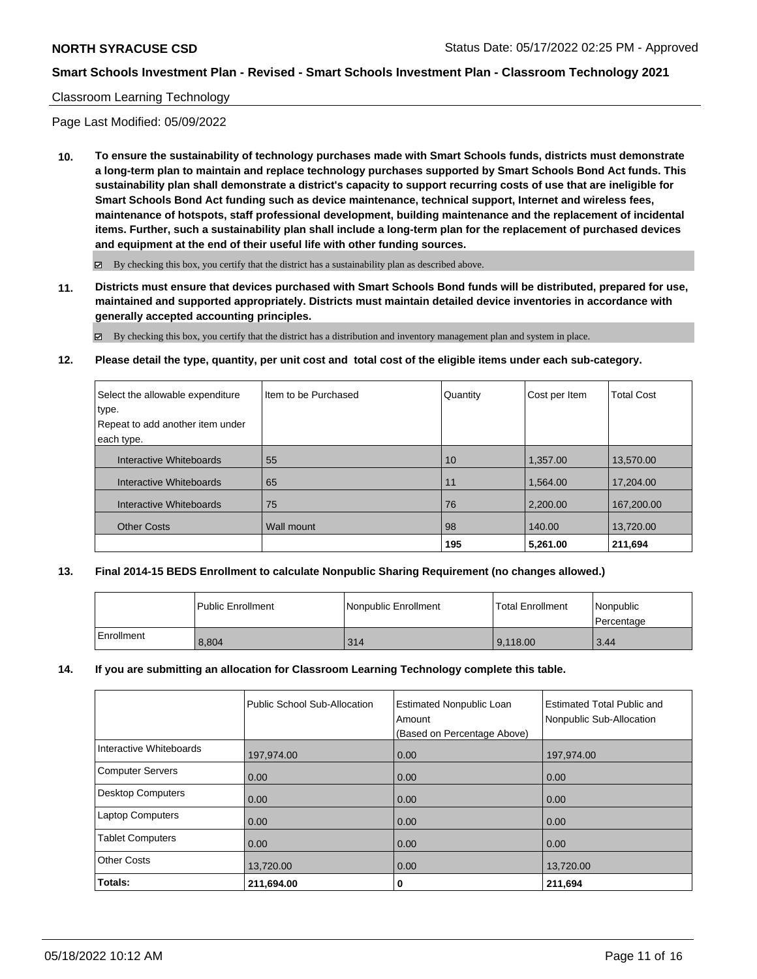## Classroom Learning Technology

Page Last Modified: 05/09/2022

**10. To ensure the sustainability of technology purchases made with Smart Schools funds, districts must demonstrate a long-term plan to maintain and replace technology purchases supported by Smart Schools Bond Act funds. This sustainability plan shall demonstrate a district's capacity to support recurring costs of use that are ineligible for Smart Schools Bond Act funding such as device maintenance, technical support, Internet and wireless fees, maintenance of hotspots, staff professional development, building maintenance and the replacement of incidental items. Further, such a sustainability plan shall include a long-term plan for the replacement of purchased devices and equipment at the end of their useful life with other funding sources.**

 $\boxtimes$  By checking this box, you certify that the district has a sustainability plan as described above.

**11. Districts must ensure that devices purchased with Smart Schools Bond funds will be distributed, prepared for use, maintained and supported appropriately. Districts must maintain detailed device inventories in accordance with generally accepted accounting principles.**

 $\boxtimes$  By checking this box, you certify that the district has a distribution and inventory management plan and system in place.

## **12. Please detail the type, quantity, per unit cost and total cost of the eligible items under each sub-category.**

| Select the allowable expenditure<br>type. | I Item to be Purchased | Quantity | Cost per Item | <b>Total Cost</b> |
|-------------------------------------------|------------------------|----------|---------------|-------------------|
| Repeat to add another item under          |                        |          |               |                   |
| each type.                                |                        |          |               |                   |
| Interactive Whiteboards                   | 55                     | 10       | 1,357.00      | 13,570.00         |
| Interactive Whiteboards                   | 65                     | 11       | 1,564.00      | 17,204.00         |
| Interactive Whiteboards                   | 75                     | 76       | 2,200.00      | 167,200.00        |
| <b>Other Costs</b>                        | Wall mount             | 98       | 140.00        | 13,720.00         |
|                                           |                        | 195      | 5,261.00      | 211,694           |

## **13. Final 2014-15 BEDS Enrollment to calculate Nonpublic Sharing Requirement (no changes allowed.)**

|            | l Public Enrollment | Nonpublic Enrollment | <b>Total Enrollment</b> | Nonpublic<br>l Percentage |
|------------|---------------------|----------------------|-------------------------|---------------------------|
| Enrollment | 8.804               | 314                  | 9.118.00                | 3.44                      |

## **14. If you are submitting an allocation for Classroom Learning Technology complete this table.**

|                          | Public School Sub-Allocation | <b>Estimated Nonpublic Loan</b><br>Amount<br>(Based on Percentage Above) | <b>Estimated Total Public and</b><br>Nonpublic Sub-Allocation |
|--------------------------|------------------------------|--------------------------------------------------------------------------|---------------------------------------------------------------|
| Interactive Whiteboards  | 197,974.00                   | 0.00                                                                     | 197,974.00                                                    |
| <b>Computer Servers</b>  | 0.00                         | 0.00                                                                     | 0.00                                                          |
| <b>Desktop Computers</b> | 0.00                         | 0.00                                                                     | 0.00                                                          |
| <b>Laptop Computers</b>  | 0.00                         | 0.00                                                                     | 0.00                                                          |
| <b>Tablet Computers</b>  | 0.00                         | 0.00                                                                     | 0.00                                                          |
| <b>Other Costs</b>       | 13,720.00                    | 0.00                                                                     | 13,720.00                                                     |
| Totals:                  | 211,694.00                   | 0                                                                        | 211,694                                                       |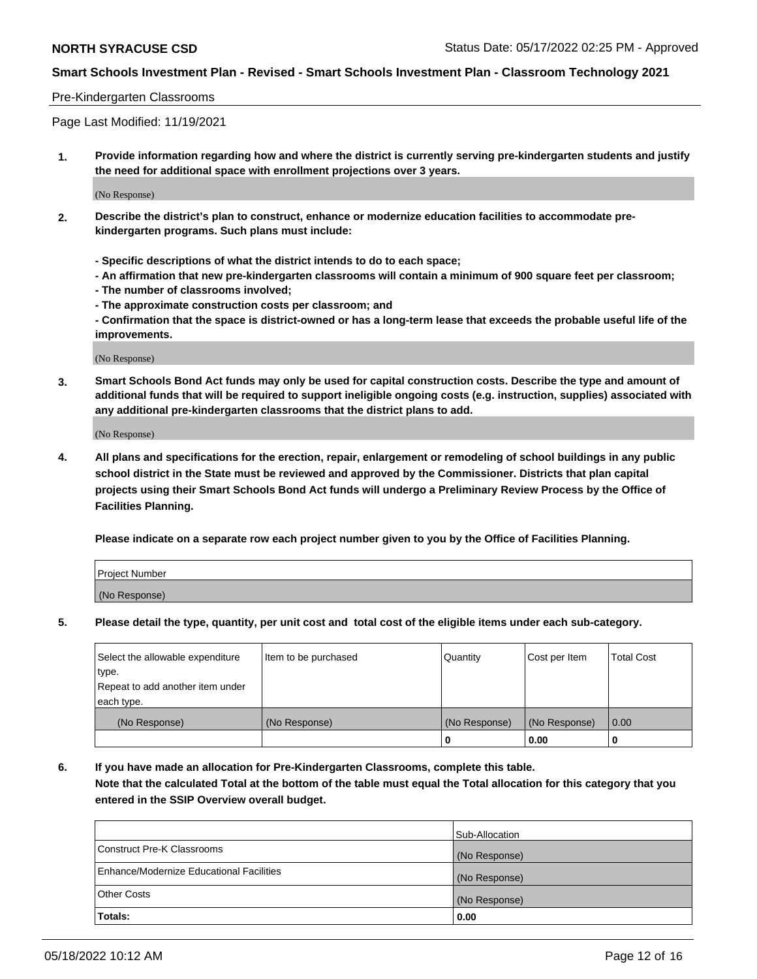## Pre-Kindergarten Classrooms

Page Last Modified: 11/19/2021

**1. Provide information regarding how and where the district is currently serving pre-kindergarten students and justify the need for additional space with enrollment projections over 3 years.**

(No Response)

- **2. Describe the district's plan to construct, enhance or modernize education facilities to accommodate prekindergarten programs. Such plans must include:**
	- **Specific descriptions of what the district intends to do to each space;**
	- **An affirmation that new pre-kindergarten classrooms will contain a minimum of 900 square feet per classroom;**
	- **The number of classrooms involved;**
	- **The approximate construction costs per classroom; and**
	- **Confirmation that the space is district-owned or has a long-term lease that exceeds the probable useful life of the improvements.**

(No Response)

**3. Smart Schools Bond Act funds may only be used for capital construction costs. Describe the type and amount of additional funds that will be required to support ineligible ongoing costs (e.g. instruction, supplies) associated with any additional pre-kindergarten classrooms that the district plans to add.**

(No Response)

**4. All plans and specifications for the erection, repair, enlargement or remodeling of school buildings in any public school district in the State must be reviewed and approved by the Commissioner. Districts that plan capital projects using their Smart Schools Bond Act funds will undergo a Preliminary Review Process by the Office of Facilities Planning.**

**Please indicate on a separate row each project number given to you by the Office of Facilities Planning.**

| Project Number |  |
|----------------|--|
| (No Response)  |  |

**5. Please detail the type, quantity, per unit cost and total cost of the eligible items under each sub-category.**

| Select the allowable expenditure | Item to be purchased | Quantity      | Cost per Item | <b>Total Cost</b> |
|----------------------------------|----------------------|---------------|---------------|-------------------|
| type.                            |                      |               |               |                   |
| Repeat to add another item under |                      |               |               |                   |
| each type.                       |                      |               |               |                   |
| (No Response)                    | (No Response)        | (No Response) | (No Response) | 0.00              |
|                                  |                      | 0             | 0.00          |                   |

**6. If you have made an allocation for Pre-Kindergarten Classrooms, complete this table.**

**Note that the calculated Total at the bottom of the table must equal the Total allocation for this category that you entered in the SSIP Overview overall budget.**

|                                          | Sub-Allocation |
|------------------------------------------|----------------|
| Construct Pre-K Classrooms               | (No Response)  |
| Enhance/Modernize Educational Facilities | (No Response)  |
| <b>Other Costs</b>                       | (No Response)  |
| Totals:                                  | 0.00           |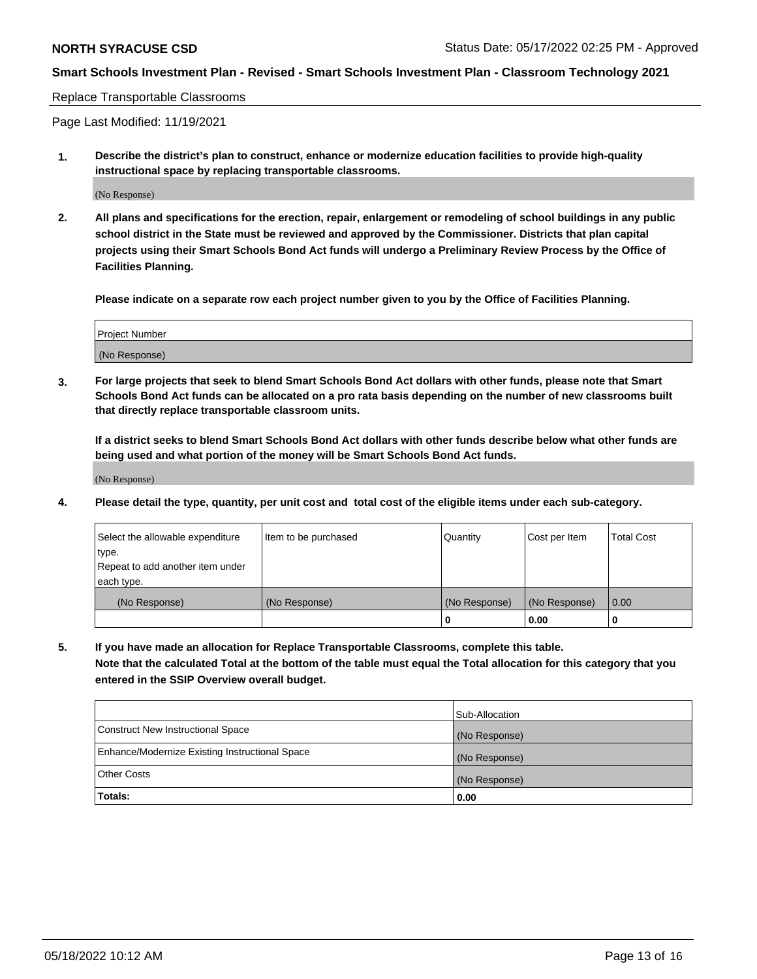Replace Transportable Classrooms

Page Last Modified: 11/19/2021

**1. Describe the district's plan to construct, enhance or modernize education facilities to provide high-quality instructional space by replacing transportable classrooms.**

(No Response)

**2. All plans and specifications for the erection, repair, enlargement or remodeling of school buildings in any public school district in the State must be reviewed and approved by the Commissioner. Districts that plan capital projects using their Smart Schools Bond Act funds will undergo a Preliminary Review Process by the Office of Facilities Planning.**

**Please indicate on a separate row each project number given to you by the Office of Facilities Planning.**

| <b>Project Number</b> |  |
|-----------------------|--|
| (No Response)         |  |

**3. For large projects that seek to blend Smart Schools Bond Act dollars with other funds, please note that Smart Schools Bond Act funds can be allocated on a pro rata basis depending on the number of new classrooms built that directly replace transportable classroom units.**

**If a district seeks to blend Smart Schools Bond Act dollars with other funds describe below what other funds are being used and what portion of the money will be Smart Schools Bond Act funds.**

(No Response)

**4. Please detail the type, quantity, per unit cost and total cost of the eligible items under each sub-category.**

| Select the allowable expenditure | Item to be purchased | Quantity      | Cost per Item | <b>Total Cost</b> |
|----------------------------------|----------------------|---------------|---------------|-------------------|
| type.                            |                      |               |               |                   |
| Repeat to add another item under |                      |               |               |                   |
| each type.                       |                      |               |               |                   |
| (No Response)                    | (No Response)        | (No Response) | (No Response) | 0.00              |
|                                  |                      | U             | 0.00          |                   |

**5. If you have made an allocation for Replace Transportable Classrooms, complete this table.**

**Note that the calculated Total at the bottom of the table must equal the Total allocation for this category that you entered in the SSIP Overview overall budget.**

|                                                | Sub-Allocation |
|------------------------------------------------|----------------|
| Construct New Instructional Space              | (No Response)  |
| Enhance/Modernize Existing Instructional Space | (No Response)  |
| <b>Other Costs</b>                             | (No Response)  |
| Totals:                                        | 0.00           |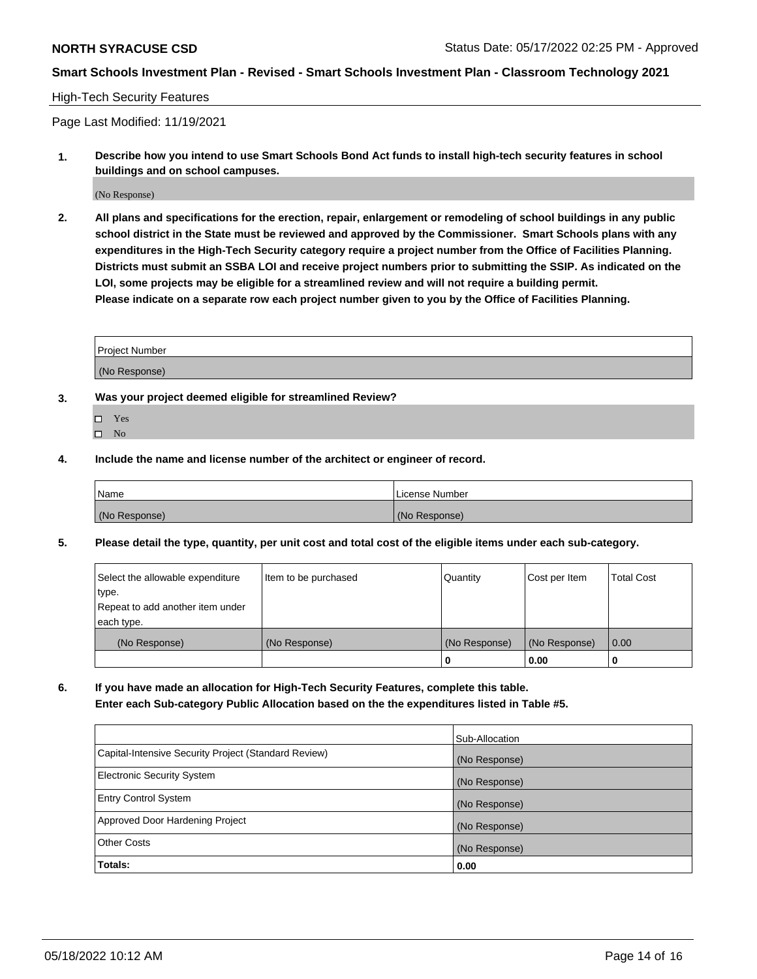## High-Tech Security Features

Page Last Modified: 11/19/2021

**1. Describe how you intend to use Smart Schools Bond Act funds to install high-tech security features in school buildings and on school campuses.**

(No Response)

**2. All plans and specifications for the erection, repair, enlargement or remodeling of school buildings in any public school district in the State must be reviewed and approved by the Commissioner. Smart Schools plans with any expenditures in the High-Tech Security category require a project number from the Office of Facilities Planning. Districts must submit an SSBA LOI and receive project numbers prior to submitting the SSIP. As indicated on the LOI, some projects may be eligible for a streamlined review and will not require a building permit. Please indicate on a separate row each project number given to you by the Office of Facilities Planning.**

| Project Number |  |
|----------------|--|
| (No Response)  |  |

- **3. Was your project deemed eligible for streamlined Review?**
	- Yes
	- $\square$  No
- **4. Include the name and license number of the architect or engineer of record.**

| Name          | License Number |
|---------------|----------------|
| (No Response) | (No Response)  |

**5. Please detail the type, quantity, per unit cost and total cost of the eligible items under each sub-category.**

| Select the allowable expenditure<br>type.<br>Repeat to add another item under | Item to be purchased | Quantity      | Cost per Item | <b>Total Cost</b> |
|-------------------------------------------------------------------------------|----------------------|---------------|---------------|-------------------|
| each type.                                                                    |                      |               |               |                   |
| (No Response)                                                                 | (No Response)        | (No Response) | (No Response) | 0.00              |
|                                                                               |                      | 0             | 0.00          | -0                |

**6. If you have made an allocation for High-Tech Security Features, complete this table. Enter each Sub-category Public Allocation based on the the expenditures listed in Table #5.**

|                                                      | Sub-Allocation |
|------------------------------------------------------|----------------|
| Capital-Intensive Security Project (Standard Review) | (No Response)  |
| Electronic Security System                           | (No Response)  |
| <b>Entry Control System</b>                          | (No Response)  |
| Approved Door Hardening Project                      | (No Response)  |
| <b>Other Costs</b>                                   | (No Response)  |
| Totals:                                              | 0.00           |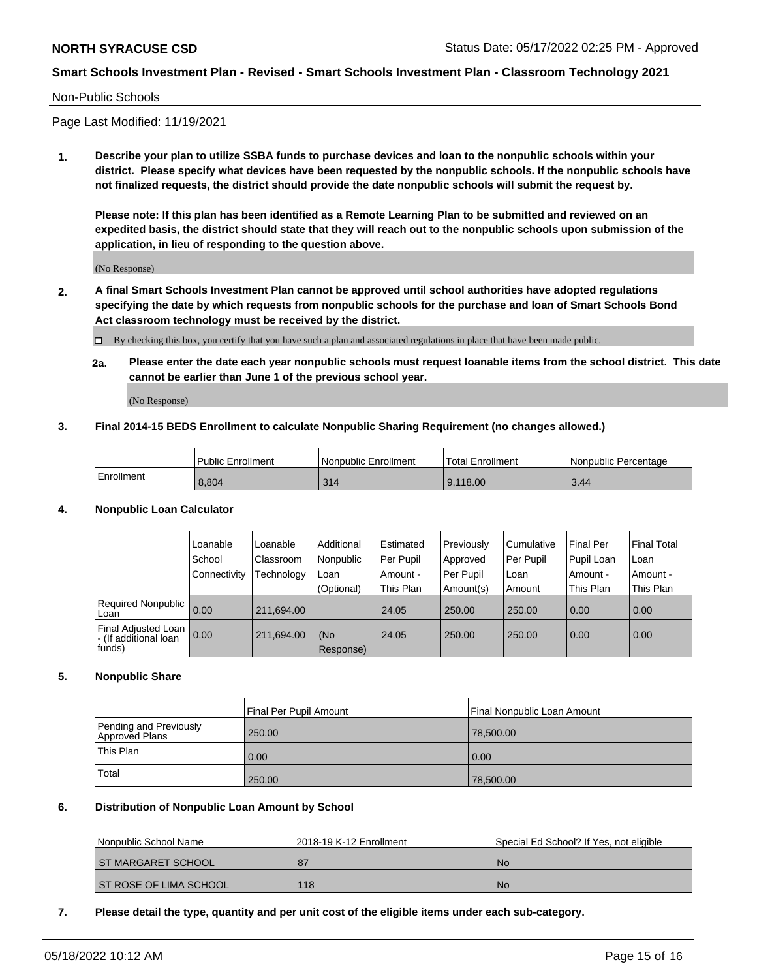#### Non-Public Schools

Page Last Modified: 11/19/2021

**1. Describe your plan to utilize SSBA funds to purchase devices and loan to the nonpublic schools within your district. Please specify what devices have been requested by the nonpublic schools. If the nonpublic schools have not finalized requests, the district should provide the date nonpublic schools will submit the request by.**

**Please note: If this plan has been identified as a Remote Learning Plan to be submitted and reviewed on an expedited basis, the district should state that they will reach out to the nonpublic schools upon submission of the application, in lieu of responding to the question above.**

(No Response)

- **2. A final Smart Schools Investment Plan cannot be approved until school authorities have adopted regulations specifying the date by which requests from nonpublic schools for the purchase and loan of Smart Schools Bond Act classroom technology must be received by the district.**
	- By checking this box, you certify that you have such a plan and associated regulations in place that have been made public.
	- **2a. Please enter the date each year nonpublic schools must request loanable items from the school district. This date cannot be earlier than June 1 of the previous school year.**

(No Response)

#### **3. Final 2014-15 BEDS Enrollment to calculate Nonpublic Sharing Requirement (no changes allowed.)**

|            | <b>Public Enrollment</b> | l Nonpublic Enrollment | <b>Total Enrollment</b> | l Nonpublic Percentage |
|------------|--------------------------|------------------------|-------------------------|------------------------|
| Enrollment | 8,804                    | 314                    | 9.118.00                | 3.44                   |

## **4. Nonpublic Loan Calculator**

|                                                        | Loanable     | Loanable   | Additional       | Estimated   | Previously  | l Cumulative | Final Per  | <b>Final Total</b> |
|--------------------------------------------------------|--------------|------------|------------------|-------------|-------------|--------------|------------|--------------------|
|                                                        | School       | Classroom  | Nonpublic        | l Per Pupil | Approved    | Per Pupil    | Pupil Loan | ∣Loan              |
|                                                        | Connectivity | Technology | Loan             | Amount -    | l Per Pupil | l Loan       | Amount -   | Amount -           |
|                                                        |              |            | (Optional)       | This Plan   | Amount(s)   | Amount       | This Plan  | This Plan          |
| Required Nonpublic<br>Loan                             | 0.00         | 211,694.00 |                  | 24.05       | 250.00      | 250.00       | 0.00       | 0.00               |
| Final Adjusted Loan<br>- (If additional loan<br>funds) | 0.00         | 211,694.00 | (No<br>Response) | 24.05       | 250.00      | 250.00       | 0.00       | 0.00               |

## **5. Nonpublic Share**

|                                          | Final Per Pupil Amount | Final Nonpublic Loan Amount |
|------------------------------------------|------------------------|-----------------------------|
| Pending and Previously<br>Approved Plans | 250.00                 | 78,500.00                   |
| This Plan                                | 0.00                   | 0.00                        |
| Total                                    | 250.00                 | 78,500.00                   |

#### **6. Distribution of Nonpublic Loan Amount by School**

| Nonpublic School Name         | l 2018-19 K-12 Enrollment | Special Ed School? If Yes, not eligible |
|-------------------------------|---------------------------|-----------------------------------------|
| <b>ST MARGARET SCHOOL</b>     | . 87                      | <b>No</b>                               |
| <b>ST ROSE OF LIMA SCHOOL</b> | 118                       | <b>No</b>                               |

## **7. Please detail the type, quantity and per unit cost of the eligible items under each sub-category.**